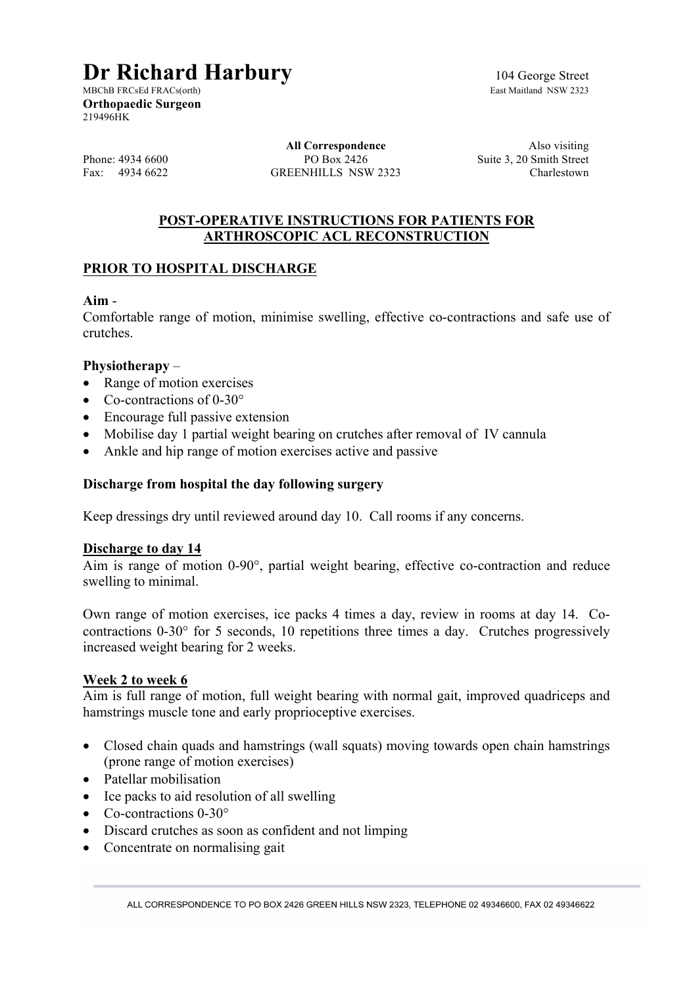# **Dr Richard Harbury** 104 George Street<br>MBChB FRCsEd FRACs(orth)<br>East Maitland NSW 2323

MBChB FRCsEd FRACs(orth) **Orthopaedic Surgeon** 219496HK

**All Correspondence** Also visiting Phone: 4934 6600 PO Box 2426 Suite 3, 20 Smith Street<br>Fax: 4934 6622 GREENHILLS NSW 2323 Charlestown GREENHILLS NSW 2323

## **POST-OPERATIVE INSTRUCTIONS FOR PATIENTS FOR ARTHROSCOPIC ACL RECONSTRUCTION**

# **PRIOR TO HOSPITAL DISCHARGE**

## **Aim** -

Comfortable range of motion, minimise swelling, effective co-contractions and safe use of crutches.

## **Physiotherapy** –

- Range of motion exercises
- Co-contractions of 0-30°
- Encourage full passive extension
- Mobilise day 1 partial weight bearing on crutches after removal of IV cannula
- Ankle and hip range of motion exercises active and passive

## **Discharge from hospital the day following surgery**

Keep dressings dry until reviewed around day 10. Call rooms if any concerns.

#### **Discharge to day 14**

Aim is range of motion 0-90°, partial weight bearing, effective co-contraction and reduce swelling to minimal.

Own range of motion exercises, ice packs 4 times a day, review in rooms at day 14. Cocontractions 0-30° for 5 seconds, 10 repetitions three times a day. Crutches progressively increased weight bearing for 2 weeks.

#### **Week 2 to week 6**

Aim is full range of motion, full weight bearing with normal gait, improved quadriceps and hamstrings muscle tone and early proprioceptive exercises.

- Closed chain quads and hamstrings (wall squats) moving towards open chain hamstrings (prone range of motion exercises)
- Patellar mobilisation
- Ice packs to aid resolution of all swelling
- Co-contractions 0-30°
- Discard crutches as soon as confident and not limping
- Concentrate on normalising gait